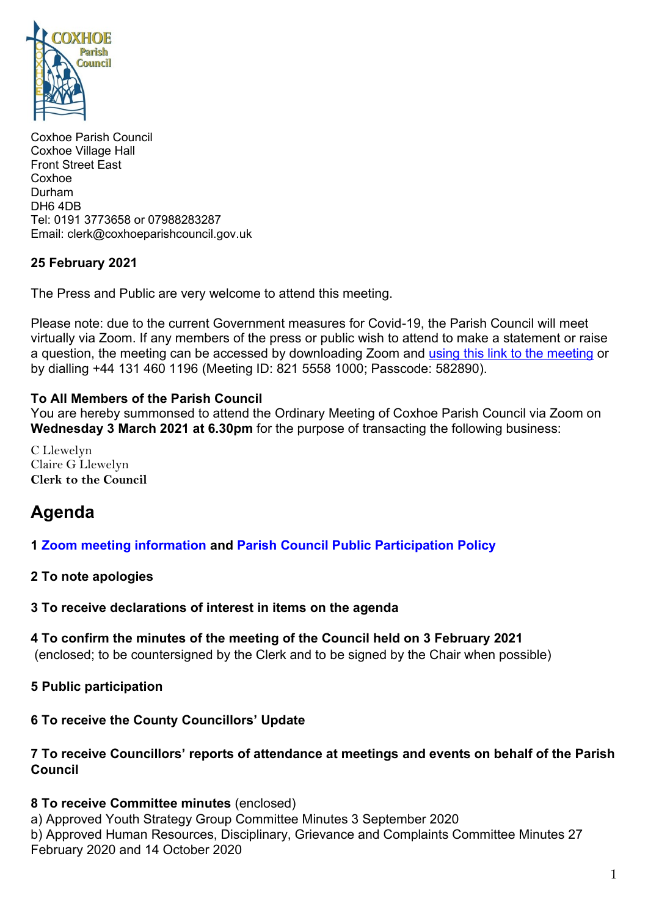

Coxhoe Parish Council Coxhoe Village Hall Front Street East Coxhoe Durham DH6 4DB Tel: 0191 3773658 or 07988283287 Email: clerk@coxhoeparishcouncil.gov.uk

#### **25 February 2021**

The Press and Public are very welcome to attend this meeting.

Please note: due to the current Government measures for Covid-19, the Parish Council will meet virtually via Zoom. If any members of the press or public wish to attend to make a statement or raise a question, the meeting can be accessed by downloading Zoom and using this link [to the meeting](https://us02web.zoom.us/j/82155581000?pwd=azM0SjE1VGVMdnFReGlaZXRHeElZQT09) or by dialling +44 131 460 1196 (Meeting ID: 821 5558 1000; Passcode: 582890).

#### **To All Members of the Parish Council**

You are hereby summonsed to attend the Ordinary Meeting of Coxhoe Parish Council via Zoom on **Wednesday 3 March 2021 at 6.30pm** for the purpose of transacting the following business:

C Llewelyn Claire G Llewelyn **Clerk to the Council** 

# **Agenda**

#### **1 [Zoom meeting information](https://1drv.ms/b/s!Alg_TKmu7xwUgaBVgDuiCxLS5RoaRw?e=TFgzfx) and Parish [Council Public Participation Policy](http://coxhoeparishcouncil.gov.uk/important-documents-and-policies/public-participation-policy-fmarch-2020-review-date-march-2022/)**

#### **2 To note apologies**

**3 To receive declarations of interest in items on the agenda**

**4 To confirm the minutes of the meeting of the Council held on 3 February 2021**

(enclosed; to be countersigned by the Clerk and to be signed by the Chair when possible)

**5 Public participation**

### **6 To receive the County Councillors' Update**

### **7 To receive Councillors' reports of attendance at meetings and events on behalf of the Parish Council**

### **8 To receive Committee minutes** (enclosed)

a) Approved Youth Strategy Group Committee Minutes 3 September 2020 b) Approved Human Resources, Disciplinary, Grievance and Complaints Committee Minutes 27 February 2020 and 14 October 2020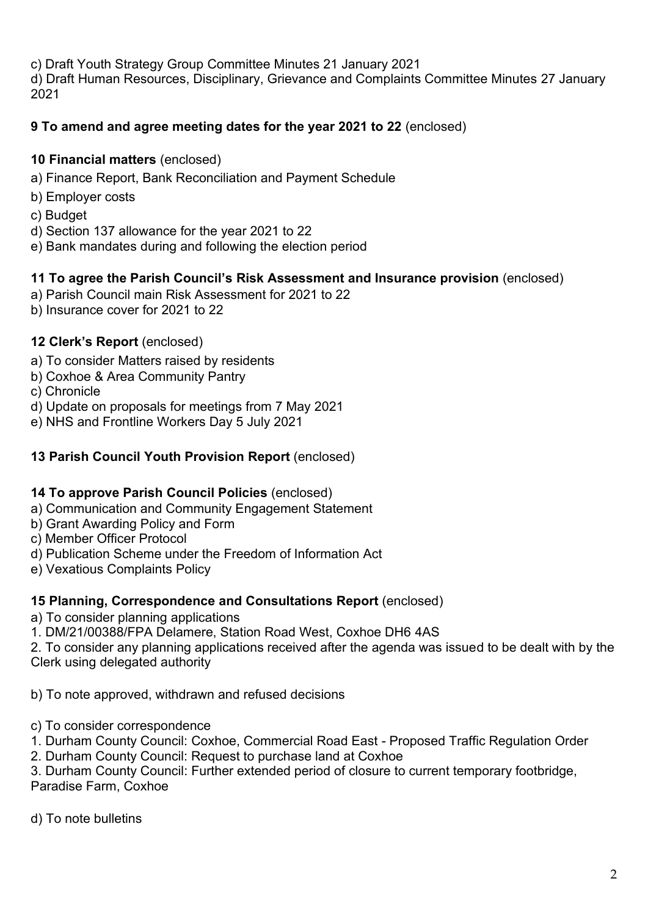c) Draft Youth Strategy Group Committee Minutes 21 January 2021 d) Draft Human Resources, Disciplinary, Grievance and Complaints Committee Minutes 27 January 2021

### **9 To amend and agree meeting dates for the year 2021 to 22** (enclosed)

#### **10 Financial matters** (enclosed)

- a) Finance Report, Bank Reconciliation and Payment Schedule
- b) Employer costs
- c) Budget
- d) Section 137 allowance for the year 2021 to 22
- e) Bank mandates during and following the election period

# **11 To agree the Parish Council's Risk Assessment and Insurance provision** (enclosed)

- a) Parish Council main Risk Assessment for 2021 to 22
- b) Insurance cover for 2021 to 22

# **12 Clerk's Report** (enclosed)

- a) To consider Matters raised by residents
- b) Coxhoe & Area Community Pantry
- c) Chronicle
- d) Update on proposals for meetings from 7 May 2021
- e) NHS and Frontline Workers Day 5 July 2021

#### **13 Parish Council Youth Provision Report** (enclosed)

#### **14 To approve Parish Council Policies** (enclosed)

a) Communication and Community Engagement Statement

- b) Grant Awarding Policy and Form
- c) Member Officer Protocol
- d) Publication Scheme under the Freedom of Information Act
- e) Vexatious Complaints Policy

#### **15 Planning, Correspondence and Consultations Report** (enclosed)

- a) To consider planning applications
- 1. DM/21/00388/FPA Delamere, Station Road West, Coxhoe DH6 4AS

2. To consider any planning applications received after the agenda was issued to be dealt with by the Clerk using delegated authority

b) To note approved, withdrawn and refused decisions

- c) To consider correspondence
- 1. Durham County Council: Coxhoe, Commercial Road East Proposed Traffic Regulation Order
- 2. Durham County Council: Request to purchase land at Coxhoe

3. Durham County Council: Further extended period of closure to current temporary footbridge, Paradise Farm, Coxhoe

d) To note bulletins